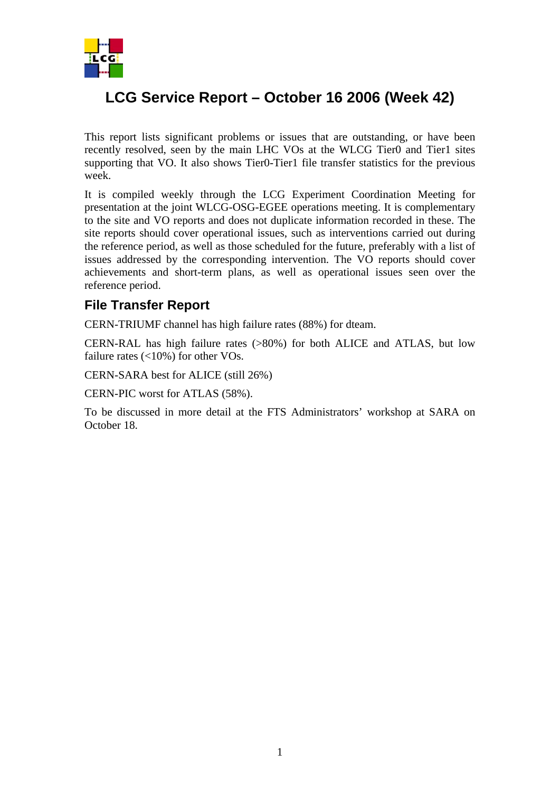

## **LCG Service Report – October 16 2006 (Week 42)**

This report lists significant problems or issues that are outstanding, or have been recently resolved, seen by the main LHC VOs at the WLCG Tier0 and Tier1 sites supporting that VO. It also shows Tier0-Tier1 file transfer statistics for the previous week.

It is compiled weekly through the LCG Experiment Coordination Meeting for presentation at the joint WLCG-OSG-EGEE operations meeting. It is complementary to the site and VO reports and does not duplicate information recorded in these. The site reports should cover operational issues, such as interventions carried out during the reference period, as well as those scheduled for the future, preferably with a list of issues addressed by the corresponding intervention. The VO reports should cover achievements and short-term plans, as well as operational issues seen over the reference period.

## **File Transfer Report**

CERN-TRIUMF channel has high failure rates (88%) for dteam.

CERN-RAL has high failure rates (>80%) for both ALICE and ATLAS, but low failure rates  $\left($  < 10%) for other VOs.

CERN-SARA best for ALICE (still 26%)

CERN-PIC worst for ATLAS (58%).

To be discussed in more detail at the FTS Administrators' workshop at SARA on October 18.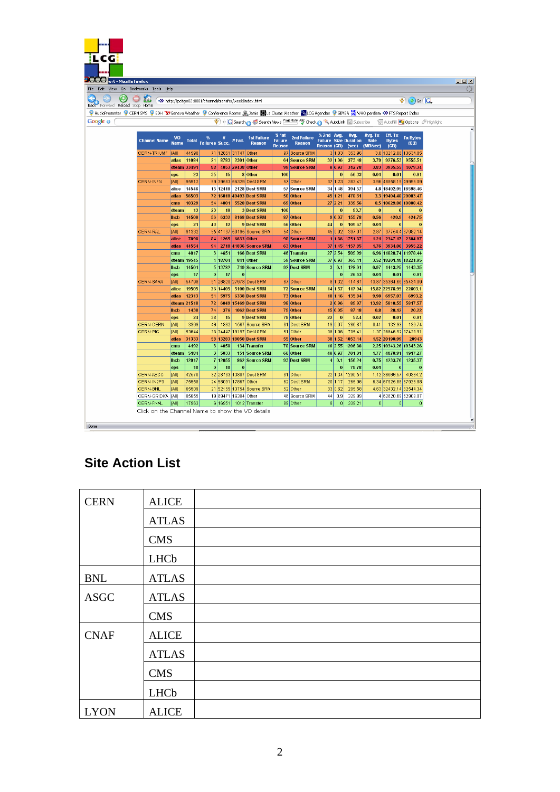| <b>DELLE</b> ort - Mozilla Firefox                                                                                                                                                     |                          |                      |                       |                      |           |                                                           |                         |                                     |                                                                                                         |                                   |                 |                                                  |                                    |
|----------------------------------------------------------------------------------------------------------------------------------------------------------------------------------------|--------------------------|----------------------|-----------------------|----------------------|-----------|-----------------------------------------------------------|-------------------------|-------------------------------------|---------------------------------------------------------------------------------------------------------|-----------------------------------|-----------------|--------------------------------------------------|------------------------------------|
| Edit View Go Bookmarks Tools Help                                                                                                                                                      |                          |                      |                       |                      |           |                                                           |                         |                                     |                                                                                                         |                                   |                 |                                                  |                                    |
| $\bigcup$ $X$                                                                                                                                                                          |                          |                      |                       |                      |           | >>> http://pcitqm02:8081/channel/transfer/week/index.html |                         |                                     |                                                                                                         |                                   |                 |                                                  | $\bullet$ (0) Go $\Box$            |
| Back Forward Reload Stop Home                                                                                                                                                          |                          |                      |                       |                      |           |                                                           |                         |                                     |                                                                                                         |                                   |                 |                                                  |                                    |
| 9 AudioPresenter 9 CERN SMS 9 EDH TR Geneva Weather 9 Conference Rooms 盒 Jamie 图 La Clusaz Weather <sup>Co</sup> sLCG Agendas 9 SIMBA <sup>WA</sup> S WHO perdiem •>> FTS Report Index |                          |                      |                       |                      |           |                                                           |                         |                                     |                                                                                                         |                                   |                 |                                                  |                                    |
|                                                                                                                                                                                        |                          |                      |                       |                      |           |                                                           |                         |                                     | C Search Cost Search News PageRank AV Check Cost AutoLink & Subscribe - C AutoFill Coptions & Highlight |                                   |                 |                                                  |                                    |
|                                                                                                                                                                                        |                          |                      |                       |                      |           |                                                           |                         |                                     |                                                                                                         |                                   |                 |                                                  |                                    |
| <b>Channel Name</b>                                                                                                                                                                    | <b>VO</b><br><b>Name</b> | <b>Total</b>         | Failures Succ. #Fail. | #                    |           | <b>1st Failure</b><br><b>Reason</b>                       | % 1st<br><b>Failure</b> | <b>2nd Failure</b><br><b>Reason</b> | % 2nd Avg.<br><b>Failure Size Duration</b>                                                              | Avg.                              | Avg. Tx<br>Rate | Eff. Tx<br><b>Bytes</b>                          | <b>Tx Bytes</b><br>(GB)            |
|                                                                                                                                                                                        |                          |                      |                       |                      |           |                                                           | <b>Reason</b>           |                                     | <b>Reason (GB)</b>                                                                                      | (sec)                             | (MB/sec)        | (GB)                                             |                                    |
| <b>CERN-TRIUMF</b>                                                                                                                                                                     | <b>[AII]</b>             | 44598                |                       | 71 12851 31747 Other |           |                                                           |                         | 97 Source SRM                       | 3 1.03                                                                                                  | 353.96                            |                 | 3.8 13212.08 13634.85                            |                                    |
|                                                                                                                                                                                        | atlas                    | 11084<br>dteam 33491 | 88                    | 21 8783 2301 Other   |           | 4053 29438 Other                                          |                         | 64 Source SRM<br>99 Source SRM      | 32 1.06<br>0 0.97                                                                                       | 373.48<br>312.78                  | 3.79<br>3.83    |                                                  | 9276.53 9555.51<br>3935.55 4079.34 |
|                                                                                                                                                                                        | ops                      | 23                   | 35                    | 15                   |           | 8 Other                                                   | 100                     |                                     | 0                                                                                                       | 56.33                             | 0.01            | 0.01                                             | 0.01                               |
| <b>CERN-INFN</b>                                                                                                                                                                       | <b>TAIII</b>             | 95912                |                       |                      |           | 59 39583 56329 Dest SRM                                   |                         | 57 Other                            | 37 1.23                                                                                                 | 383.41                            |                 | 3.96 48858.19 49995.09                           |                                    |
|                                                                                                                                                                                        | alice                    | 14546                |                       |                      |           | 15 12418 2128 Dest SRM                                    |                         | 57 Source SRM                       | 34 1.48                                                                                                 | 394.57                            |                 | 4.8 18402.95 18598.46                            |                                    |
|                                                                                                                                                                                        | atlas                    | 56503                |                       |                      |           | 72 16010 40493 Dest SRM                                   |                         | 50 Other                            | 45 1.21                                                                                                 | 478.31                            |                 | 3.3 19404.48 20083.47                            |                                    |
|                                                                                                                                                                                        | cms                      | 10329                | 54                    | 4801                 |           | 5528 Dest SRM                                             |                         | 69 Other                            | 27 2.21                                                                                                 | 339.56                            |                 | 8.5 10629.86 10888.42                            |                                    |
|                                                                                                                                                                                        | dteam                    | 13                   | 23                    | 10                   |           | 3 Dest SRM                                                | 100                     |                                     | $\bf{0}$                                                                                                | 93.7                              | $\mathbf{0}$    | $\mathbf{0}$                                     | $\mathbf 0$                        |
|                                                                                                                                                                                        | <b>Incb</b>              | 14500                | 56                    | 6332                 |           | 8168 Dest SRM                                             |                         | 87 Other                            | 9 0.07                                                                                                  | 155.78                            | 0.56            | 420.9                                            | 424.75                             |
|                                                                                                                                                                                        | ops                      | 21                   | 43                    | 12                   |           | 9 Dest SRM                                                |                         | 56 Other                            | $\bf{0}$<br>44                                                                                          | 109.67                            | 0.01            | 0                                                |                                    |
| <b>CERN-RAL</b>                                                                                                                                                                        | [All]                    | 91332                |                       |                      |           | 55 41137 50195 Source SRM                                 |                         | 54 Other                            | 45 0.92                                                                                                 | 397.07                            | 2.87            |                                                  | 37754.4 37982.14                   |
|                                                                                                                                                                                        | alice<br>atlas           | 7898<br>44554        | 84 <sup>1</sup><br>94 | 1265                 |           | 6633 Other<br>2718 41836 Source SRM                       |                         | 98 Source SRM<br>63 Other           |                                                                                                         | 1 1.86 1751.87<br>37 1.45 1157.85 | 1.21<br>1.76    |                                                  | 2347.17 2384.07<br>3934.06 3955.22 |
|                                                                                                                                                                                        | cms                      | 4817                 | 3 <sup>2</sup>        | 4651                 |           | 166 Dest SRM                                              |                         | 46 Transfer                         | 27 2.54                                                                                                 | 509.99                            |                 | 6.96 11828.74 11978.44                           |                                    |
|                                                                                                                                                                                        | dteam                    | 19545                |                       | 4 18704              |           | 841 Other                                                 |                         | 59 Source SRM                       | 37 0.97                                                                                                 | 365.41                            |                 | 3.52 18201.18 18221.05                           |                                    |
|                                                                                                                                                                                        | <b>Inch</b>              | 14501                |                       | 5 13782              |           | 719 Source SRM                                            |                         | 92 Dest SRM                         | 3 0.1                                                                                                   | 128.01                            | 0.97            | 1443.25                                          | 1443.35                            |
|                                                                                                                                                                                        | ops                      | 17                   | 0                     | 17                   | $\pmb{0}$ |                                                           |                         |                                     | $\boldsymbol{0}$                                                                                        | 26.53                             | 0.01            | 0.01                                             | 0.01                               |
| CERN-SARA                                                                                                                                                                              | <b>TAIII</b>             | 54798                |                       |                      |           | 51 26820 27978 Dest SRM                                   |                         | 87 Other                            | 8 1.32                                                                                                  | 114.67                            |                 | 13.87 35364.66 35434.09                          |                                    |
|                                                                                                                                                                                        | alice                    | 19505                |                       | 26 14405             |           | 5100 Dest SRM                                             |                         | 72 Source SRM                       | 14 1.57                                                                                                 | 117.04                            |                 | 15.82 22576.95                                   | 22603.1                            |
|                                                                                                                                                                                        | atlas                    | 12313                | 51                    | 5975                 |           | 6338 Dest SRM                                             |                         | 73 Other                            | 18 1.16                                                                                                 | 135.84                            | 9.98            | 6957.03                                          | 6993.2                             |
|                                                                                                                                                                                        | dteam                    | 21518                | 72                    |                      |           | 6049 15469 Dest SRM                                       |                         | 98 Other                            | 2 0.96                                                                                                  | 89.97                             | 13.92           | 5810.55                                          | 5817.57                            |
|                                                                                                                                                                                        | <b>Incb</b><br>ops       | 1438<br>24           | 74<br>38              | 376<br>15            |           | 1062 Dest SRM<br>9 Dest SRM                               |                         | 79 Other<br>78 Other                | 15 0.05<br>22<br>$\bf{0}$                                                                               | 87.18<br>52.4                     | 0.8<br>0.02     | 20.12<br>0.01                                    | 20.22<br>0.01                      |
| <b>CERN-CERN</b>                                                                                                                                                                       | [All]                    | 3399                 | 46                    | 1832                 |           | 1567 Source SRM                                           |                         | 61 Dest SRM                         | 19 0.07                                                                                                 | 286.87                            | 0.41            | 132.93                                           | 139.74                             |
| <b>CERN-PIC</b>                                                                                                                                                                        | <b>JAIII</b>             | 53644                |                       | 36 34447             |           | 19197 Dest SRM                                            |                         | 51 Other                            | 36 1.06                                                                                                 | 705.41                            |                 | 1.37 36646.92 37438.91                           |                                    |
|                                                                                                                                                                                        | atlas                    | 31333                |                       |                      |           | 58 13283 18050 Dest SRM                                   |                         | 55 Other                            | 38 1.52 1053 14                                                                                         |                                   |                 | 1.52 20190.99                                    | 20943                              |
|                                                                                                                                                                                        | $\mathbf{cm}\mathbf{s}$  | 4192                 | 3 <sup>2</sup>        | 4058                 |           | 134 Transfer                                              |                         | 78 Source SRM                       | 16 2.55                                                                                                 | 1206.88                           |                 | 2.25 10343.26 10343.26                           |                                    |
|                                                                                                                                                                                        | dteam                    | 5184                 | 3                     | 5033                 |           | 151 Source SRM                                            |                         | 60 Other                            | 40 0.97                                                                                                 | 701.01                            | 1.77            | 4878.91                                          | 4917.27                            |
|                                                                                                                                                                                        | <b>Inch</b>              | 12917                |                       | 7 12055              |           | 862 Source SRM                                            |                         | 93 Dest SRM                         | 4 0.1                                                                                                   | 156.24                            | 0.75            | 1233.76                                          | 1235.37                            |
|                                                                                                                                                                                        | ops                      | 18                   | 0                     | 18                   | $\bf{0}$  |                                                           |                         |                                     | $\bf{0}$                                                                                                | 78.78                             | 0.01            | $\bf{0}$                                         | $\mathbf 0$                        |
| CERN-ASCC                                                                                                                                                                              | [All]                    | 42570                |                       |                      |           | 32 28763 13807 Dest SRM                                   |                         | 61 Other                            | 22 1.34 1290.51                                                                                         |                                   |                 | 1.12 38669.57                                    | 40334.2                            |
| CERN-IN2P3<br><b>CERN-BNL</b>                                                                                                                                                          | <b>JAII</b>              | 75958                |                       | 24 58091             |           | 17867 Other                                               |                         | 62 Dest SRM<br>52 Other             | 20 1.17<br>33 0.62                                                                                      | 265.96<br>205.58                  |                 | 6.34 67925.88 67925.88<br>4.63 32432.14 32544.34 |                                    |
| CERN-GRIDKA                                                                                                                                                                            | [All]<br><b>IAII</b>     | 65909<br>85855       |                       | 19 69471 16384 Other |           | 21 52155 13754 Source SRM                                 |                         | 46 Source SRM                       | $44$ 0.9                                                                                                | 329.99                            |                 | 4 62620.69 62908.07                              |                                    |
| CERN-FNAL                                                                                                                                                                              | JAII                     | 17963                |                       | 6 16951              |           | 1012 Transfer                                             |                         | 89 Other                            | 8 <br> 0                                                                                                | 339.21                            | $\bf 0$         | 0                                                | $\pmb{0}$                          |

## **Site Action List**

| <b>CERN</b> | <b>ALICE</b> |
|-------------|--------------|
|             | <b>ATLAS</b> |
|             | <b>CMS</b>   |
|             | LHCb         |
| <b>BNL</b>  | <b>ATLAS</b> |
| <b>ASGC</b> | <b>ATLAS</b> |
|             | <b>CMS</b>   |
| <b>CNAF</b> | <b>ALICE</b> |
|             | <b>ATLAS</b> |
|             | <b>CMS</b>   |
|             | <b>LHCb</b>  |
| <b>LYON</b> | <b>ALICE</b> |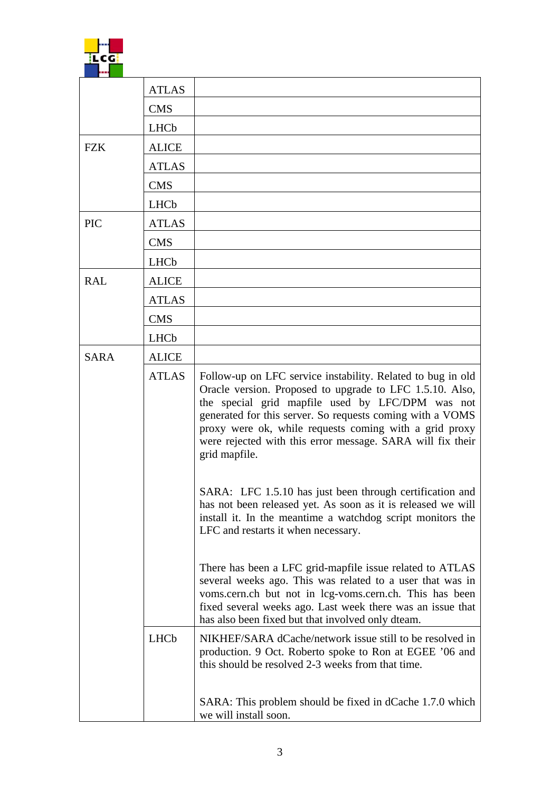|             | <b>ATLAS</b> |                                                                                                                                                                                                                                                                                                                                                                                   |
|-------------|--------------|-----------------------------------------------------------------------------------------------------------------------------------------------------------------------------------------------------------------------------------------------------------------------------------------------------------------------------------------------------------------------------------|
|             | <b>CMS</b>   |                                                                                                                                                                                                                                                                                                                                                                                   |
|             | LHCb         |                                                                                                                                                                                                                                                                                                                                                                                   |
| <b>FZK</b>  | <b>ALICE</b> |                                                                                                                                                                                                                                                                                                                                                                                   |
|             | <b>ATLAS</b> |                                                                                                                                                                                                                                                                                                                                                                                   |
|             | <b>CMS</b>   |                                                                                                                                                                                                                                                                                                                                                                                   |
|             | LHCb         |                                                                                                                                                                                                                                                                                                                                                                                   |
| <b>PIC</b>  | <b>ATLAS</b> |                                                                                                                                                                                                                                                                                                                                                                                   |
|             | <b>CMS</b>   |                                                                                                                                                                                                                                                                                                                                                                                   |
|             | LHCb         |                                                                                                                                                                                                                                                                                                                                                                                   |
| <b>RAL</b>  | <b>ALICE</b> |                                                                                                                                                                                                                                                                                                                                                                                   |
|             | <b>ATLAS</b> |                                                                                                                                                                                                                                                                                                                                                                                   |
|             | <b>CMS</b>   |                                                                                                                                                                                                                                                                                                                                                                                   |
|             | LHCb         |                                                                                                                                                                                                                                                                                                                                                                                   |
| <b>SARA</b> | <b>ALICE</b> |                                                                                                                                                                                                                                                                                                                                                                                   |
|             | <b>ATLAS</b> | Follow-up on LFC service instability. Related to bug in old<br>Oracle version. Proposed to upgrade to LFC 1.5.10. Also,<br>the special grid mapfile used by LFC/DPM was not<br>generated for this server. So requests coming with a VOMS<br>proxy were ok, while requests coming with a grid proxy<br>were rejected with this error message. SARA will fix their<br>grid mapfile. |
|             |              | SARA: LFC 1.5.10 has just been through certification and<br>has not been released yet. As soon as it is released we will<br>install it. In the meantime a watchdog script monitors the<br>LFC and restarts it when necessary.                                                                                                                                                     |
|             |              | There has been a LFC grid-mapfile issue related to ATLAS<br>several weeks ago. This was related to a user that was in<br>voms.cern.ch but not in lcg-voms.cern.ch. This has been<br>fixed several weeks ago. Last week there was an issue that<br>has also been fixed but that involved only dteam.                                                                               |
|             | LHCb         | NIKHEF/SARA dCache/network issue still to be resolved in<br>production. 9 Oct. Roberto spoke to Ron at EGEE '06 and<br>this should be resolved 2-3 weeks from that time.                                                                                                                                                                                                          |
|             |              | SARA: This problem should be fixed in dCache 1.7.0 which<br>we will install soon.                                                                                                                                                                                                                                                                                                 |